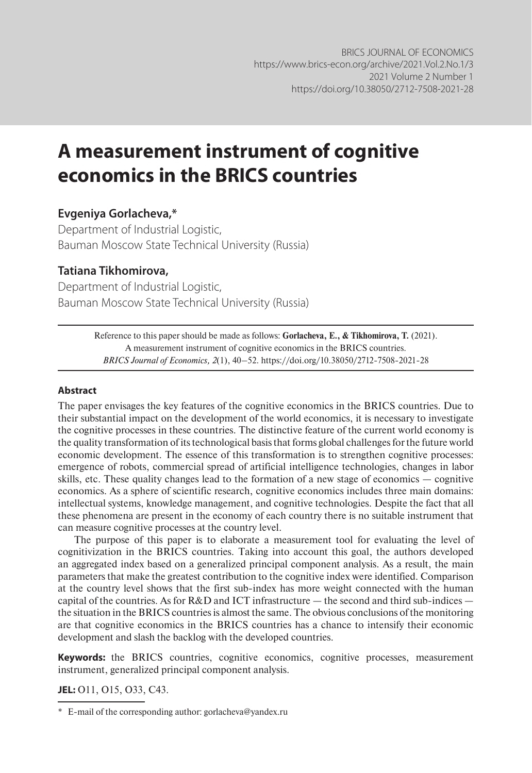# **A measurement instrument of cognitive economics in the BRICS countries**

#### **Evgeniya Gorlacheva,\***

Department of Industrial Logistic, Bauman Moscow State Technical University (Russia)

#### **Tatiana Tikhomirova,**

Department of Industrial Logistic, Bauman Moscow State Technical University (Russia)

> Reference to this paper should be made as follows: **Gorlacheva, E., & Tikhomirova, T.** (2021). A measurement instrument of cognitive economics in the BRICS countries. *BRICS Journal of Economics, 2*(1), 40–52. https://doi.org/10.38050/2712-7508-2021-28

#### **Abstract**

The paper envisages the key features of the cognitive economics in the BRICS countries. Due to their substantial impact on the development of the world economics, it is necessary to investigate the cognitive processes in these countries. The distinctive feature of the current world economy is the quality transformation of its technological basis that forms global challenges for the future world economic development. The essence of this transformation is to strengthen cognitive processes: emergence of robots, commercial spread of artificial intelligence technologies, changes in labor skills, etc. These quality changes lead to the formation of a new stage of economics — cognitive economics. As a sphere of scientific research, cognitive economics includes three main domains: intellectual systems, knowledge management, and cognitive technologies. Despite the fact that all these phenomena are present in the economy of each country there is no suitable instrument that can measure cognitive processes at the country level.

The purpose of this paper is to elaborate a measurement tool for evaluating the level of cognitivization in the BRICS countries. Taking into account this goal, the authors developed an aggregated index based on a generalized principal component analysis. As a result, the main parameters that make the greatest contribution to the cognitive index were identified. Comparison at the country level shows that the first sub-index has more weight connected with the human capital of the countries. As for R&D and ICT infrastructure — the second and third sub-indices the situation in the BRICS countries is almost the same. The obvious conclusions of the monitoring are that cognitive economics in the BRICS countries has a chance to intensify their economic development and slash the backlog with the developed countries.

**Keywords:** the BRICS countries, cognitive economics, cognitive processes, measurement instrument, generalized principal component analysis.

**JEL:** O11, O15, O33, C43.

<sup>\*</sup> E-mail of the corresponding author: gorlacheva@yandex.ru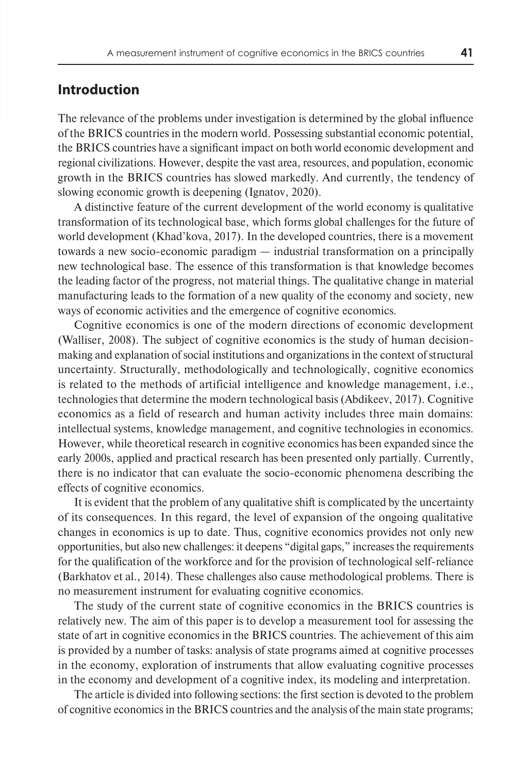#### **Introduction**

The relevance of the problems under investigation is determined by the global influence of the BRICS countries in the modern world. Possessing substantial economic potential, the BRICS countries have a significant impact on both world economic development and regional civilizations. However, despite the vast area, resources, and population, economic growth in the BRICS countries has slowed markedly. And currently, the tendency of slowing economic growth is deepening (Ignatov, 2020).

A distinctive feature of the current development of the world economy is qualitative transformation of its technological base, which forms global challenges for the future of world development (Khad'kova, 2017). In the developed countries, there is a movement towards a new socio-economic paradigm — industrial transformation on a principally new technological base. The essence of this transformation is that knowledge becomes the leading factor of the progress, not material things. The qualitative change in material manufacturing leads to the formation of a new quality of the economy and society, new ways of economic activities and the emergence of cognitive economics.

Cognitive economics is one of the modern directions of economic development (Walliser, 2008). The subject of cognitive economics is the study of human decisionmaking and explanation of social institutions and organizations in the context of structural uncertainty. Structurally, methodologically and technologically, cognitive economics is related to the methods of artificial intelligence and knowledge management, i.e., technologies that determine the modern technological basis (Abdikeev, 2017). Cognitive economics as a field of research and human activity includes three main domains: intellectual systems, knowledge management, and cognitive technologies in economics. However, while theoretical research in cognitive economics has been expanded since the early 2000s, applied and practical research has been presented only partially. Currently, there is no indicator that can evaluate the socio-economic phenomena describing the effects of cognitive economics.

It is evident that the problem of any qualitative shift is complicated by the uncertainty of its consequences. In this regard, the level of expansion of the ongoing qualitative changes in economics is up to date. Thus, cognitive economics provides not only new opportunities, but also new challenges: it deepens "digital gaps," increases the requirements for the qualification of the workforce and for the provision of technological self-reliance (Barkhatov et al., 2014). These challenges also cause methodological problems. There is no measurement instrument for evaluating cognitive economics.

The study of the current state of cognitive economics in the BRICS countries is relatively new. The aim of this paper is to develop a measurement tool for assessing the state of art in cognitive economics in the BRICS countries. The achievement of this aim is provided by a number of tasks: analysis of state programs aimed at cognitive processes in the economy, exploration of instruments that allow evaluating cognitive processes in the economy and development of a cognitive index, its modeling and interpretation.

The article is divided into following sections: the first section is devoted to the problem of cognitive economics in the BRICS countries and the analysis of the main state programs;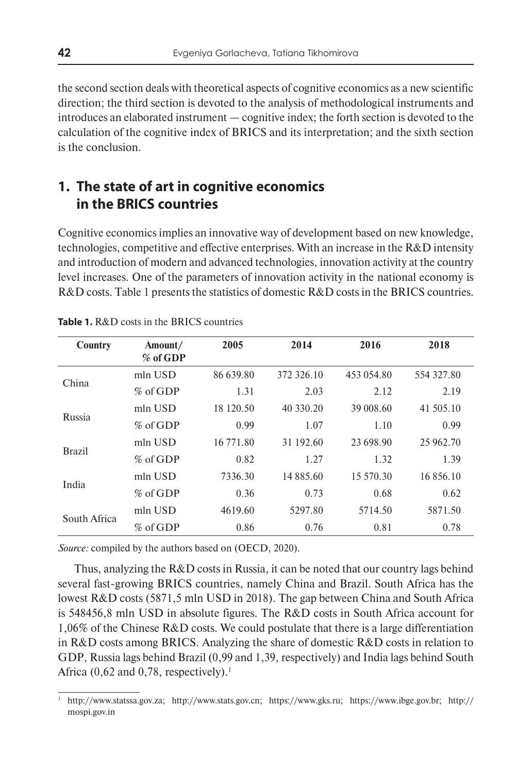the second section deals with theoretical aspects of cognitive economics as a new scientific direction; the third section is devoted to the analysis of methodological instruments and introduces an elaborated instrument — cognitive index; the forth section is devoted to the calculation of the cognitive index of BRICS and its interpretation; and the sixth section is the conclusion.

# **1. The state of art in cognitive economics in the BRICS countries**

Cognitive economics implies an innovative way of development based on new knowledge, technologies, competitive and effective enterprises. With an increase in the R&D intensity and introduction of modern and advanced technologies, innovation activity at the country level increases. One of the parameters of innovation activity in the national economy is R&D costs. Table 1 presents the statistics of domestic R&D costs in the BRICS countries.

| Country       | Amount/<br>% of GDP | 2005      | 2014       | 2016       | 2018       |
|---------------|---------------------|-----------|------------|------------|------------|
| China         | $mln$ USD           | 86 639.80 | 372 326.10 | 453 054.80 | 554 327.80 |
|               | $%$ of GDP          | 1.31      | 2.03       | 2.12       | 2.19       |
|               | $mln$ USD           | 18 120.50 | 40 330.20  | 39 008.60  | 41 505.10  |
| Russia        | $%$ of GDP          | 0.99      | 1.07       | 1.10       | 0.99       |
| <b>Brazil</b> | $mln$ USD           | 16 771.80 | 31 192.60  | 23 698.90  | 25 962.70  |
|               | $%$ of GDP          | 0.82      | 1.27       | 1.32       | 1.39       |
| India         | $mln$ USD           | 7336.30   | 14 885.60  | 15 570.30  | 16 856.10  |
|               | $%$ of GDP          | 0.36      | 0.73       | 0.68       | 0.62       |
|               | $min$ USD           | 4619.60   | 5297.80    | 5714.50    | 5871.50    |
| South Africa  | % of GDP            | 0.86      | 0.76       | 0.81       | 0.78       |

*Source:* compiled by the authors based on (OECD, 2020).

Thus, analyzing the R&D costs in Russia, it can be noted that our country lags behind several fast-growing BRICS countries, namely China and Brazil. South Africa has the lowest R&D costs (5871,5 mln USD in 2018). The gap between China and South Africa is 548456,8 mln USD in absolute figures. The R&D costs in South Africa account for 1,06% of the Chinese R&D costs. We could postulate that there is a large differentiation in R&D costs among BRICS. Analyzing the share of domestic R&D costs in relation to GDP, Russia lags behind Brazil (0,99 and 1,39, respectively) and India lags behind South Africa  $(0.62$  and  $0.78$ , respectively).<sup>1</sup>

<sup>1</sup> http://www.statssa.gov.za; http://www.stats.gov.cn; https://www.gks.ru; https://www.ibge.gov.br; http:// mospi.gov.in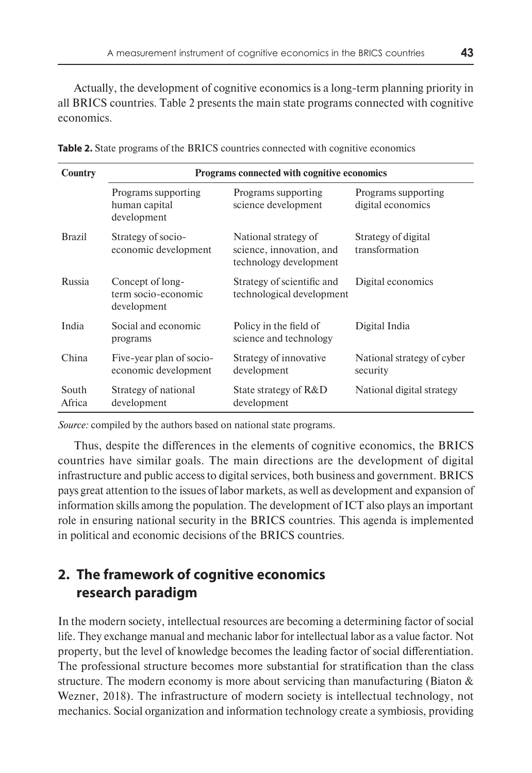Actually, the development of cognitive economics is a long-term planning priority in all BRICS countries. Table 2 presents the main state programs connected with cognitive economics.

| Country         | Programs connected with cognitive economics            |                                                                            |                                          |  |  |  |  |  |
|-----------------|--------------------------------------------------------|----------------------------------------------------------------------------|------------------------------------------|--|--|--|--|--|
|                 | Programs supporting<br>human capital<br>development    | Programs supporting<br>science development                                 | Programs supporting<br>digital economics |  |  |  |  |  |
| <b>Brazil</b>   | Strategy of socio-<br>economic development             | National strategy of<br>science, innovation, and<br>technology development | Strategy of digital<br>transformation    |  |  |  |  |  |
| Russia          | Concept of long-<br>term socio-economic<br>development | Strategy of scientific and<br>technological development                    | Digital economics                        |  |  |  |  |  |
| India           | Social and economic<br>programs                        | Policy in the field of<br>science and technology                           | Digital India                            |  |  |  |  |  |
| China           | Five-year plan of socio-<br>economic development       | Strategy of innovative<br>development                                      | National strategy of cyber<br>security   |  |  |  |  |  |
| South<br>Africa | Strategy of national<br>development                    | State strategy of R&D<br>development                                       | National digital strategy                |  |  |  |  |  |

| <b>Table 2.</b> State programs of the BRICS countries connected with cognitive economics |  |
|------------------------------------------------------------------------------------------|--|
|------------------------------------------------------------------------------------------|--|

*Source:* compiled by the authors based on national state programs.

Thus, despite the differences in the elements of cognitive economics, the BRICS countries have similar goals. The main directions are the development of digital infrastructure and public access to digital services, both business and government. BRICS pays great attention to the issues of labor markets, as well as development and expansion of information skills among the population. The development of ICT also plays an important role in ensuring national security in the BRICS countries. This agenda is implemented in political and economic decisions of the BRICS countries.

# **2. The framework of cognitive economics research paradigm**

In the modern society, intellectual resources are becoming a determining factor of social life. They exchange manual and mechanic labor for intellectual labor as a value factor. Not property, but the level of knowledge becomes the leading factor of social differentiation. The professional structure becomes more substantial for stratification than the class structure. The modern economy is more about servicing than manufacturing (Biaton & Wezner, 2018). The infrastructure of modern society is intellectual technology, not mechanics. Social organization and information technology create a symbiosis, providing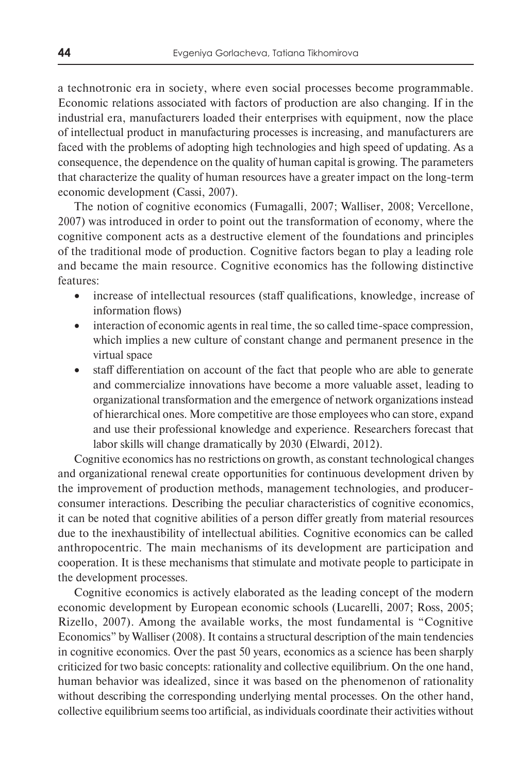a technotronic era in society, where even social processes become programmable. Economic relations associated with factors of production are also changing. If in the industrial era, manufacturers loaded their enterprises with equipment, now the place of intellectual product in manufacturing processes is increasing, and manufacturers are faced with the problems of adopting high technologies and high speed of updating. As a consequence, the dependence on the quality of human capital is growing. The parameters that characterize the quality of human resources have a greater impact on the long-term economic development (Cassi, 2007).

The notion of cognitive economics (Fumagalli, 2007; Walliser, 2008; Vercellone, 2007) was introduced in order to point out the transformation of economy, where the cognitive component acts as a destructive element of the foundations and principles of the traditional mode of production. Cognitive factors began to play a leading role and became the main resource. Cognitive economics has the following distinctive features:

- increase of intellectual resources (staff qualifications, knowledge, increase of information flows)
- interaction of economic agents in real time, the so called time-space compression, which implies a new culture of constant change and permanent presence in the virtual space
- staff differentiation on account of the fact that people who are able to generate and commercialize innovations have become a more valuable asset, leading to organizational transformation and the emergence of network organizations instead of hierarchical ones. More competitive are those employees who can store, expand and use their professional knowledge and experience. Researchers forecast that labor skills will change dramatically by 2030 (Elwardi, 2012).

Cognitive economics has no restrictions on growth, as constant technological changes and organizational renewal create opportunities for continuous development driven by the improvement of production methods, management technologies, and producerconsumer interactions. Describing the peculiar characteristics of cognitive economics, it can be noted that cognitive abilities of a person differ greatly from material resources due to the inexhaustibility of intellectual abilities. Cognitive economics can be called anthropocentric. The main mechanisms of its development are participation and cooperation. It is these mechanisms that stimulate and motivate people to participate in the development processes.

Cognitive economics is actively elaborated as the leading concept of the modern economic development by European economic schools (Lucarelli, 2007; Ross, 2005; Rizello, 2007). Among the available works, the most fundamental is "Cognitive Economics" by Walliser (2008). It contains a structural description of the main tendencies in cognitive economics. Over the past 50 years, economics as a science has been sharply criticized for two basic concepts: rationality and collective equilibrium. On the one hand, human behavior was idealized, since it was based on the phenomenon of rationality without describing the corresponding underlying mental processes. On the other hand, collective equilibrium seems too artificial, as individuals coordinate their activities without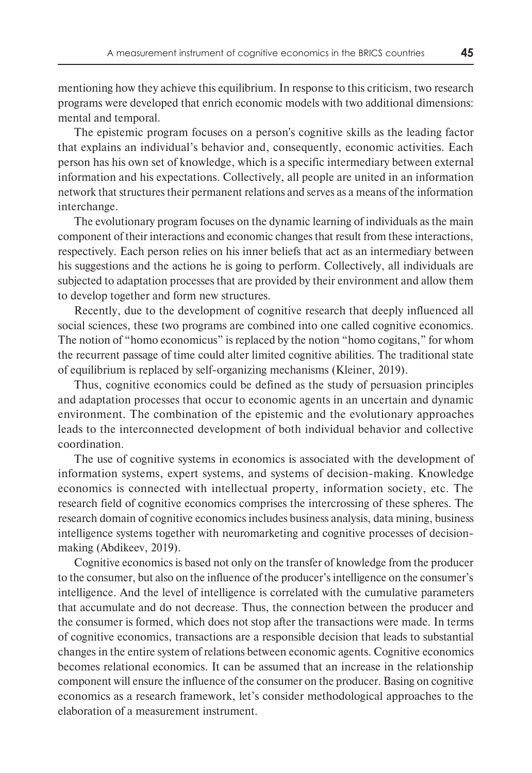mentioning how they achieve this equilibrium. In response to this criticism, two research programs were developed that enrich economic models with two additional dimensions: mental and temporal.

The epistemic program focuses on a person's cognitive skills as the leading factor that explains an individual's behavior and, consequently, economic activities. Each person has his own set of knowledge, which is a specific intermediary between external information and his expectations. Collectively, all people are united in an information network that structures their permanent relations and serves as a means of the information interchange.

The evolutionary program focuses on the dynamic learning of individuals as the main component of their interactions and economic changes that result from these interactions, respectively. Each person relies on his inner beliefs that act as an intermediary between his suggestions and the actions he is going to perform. Collectively, all individuals are subjected to adaptation processes that are provided by their environment and allow them to develop together and form new structures.

Recently, due to the development of cognitive research that deeply influenced all social sciences, these two programs are combined into one called cognitive economics. The notion of "homo economicus" is replaced by the notion "homo cogitans," for whom the recurrent passage of time could alter limited cognitive abilities. The traditional state of equilibrium is replaced by self-organizing mechanisms (Kleiner, 2019).

Thus, cognitive economics could be defined as the study of persuasion principles and adaptation processes that occur to economic agents in an uncertain and dynamic environment. The combination of the epistemic and the evolutionary approaches leads to the interconnected development of both individual behavior and collective coordination.

The use of cognitive systems in economics is associated with the development of information systems, expert systems, and systems of decision-making. Knowledge economics is connected with intellectual property, information society, etc. The research field of cognitive economics comprises the intercrossing of these spheres. The research domain of cognitive economics includes business analysis, data mining, business intelligence systems together with neuromarketing and cognitive processes of decisionmaking (Abdikeev, 2019).

Cognitive economics is based not only on the transfer of knowledge from the producer to the consumer, but also on the influence of the producer's intelligence on the consumer's intelligence. And the level of intelligence is correlated with the cumulative parameters that accumulate and do not decrease. Thus, the connection between the producer and the consumer is formed, which does not stop after the transactions were made. In terms of cognitive economics, transactions are a responsible decision that leads to substantial changes in the entire system of relations between economic agents. Cognitive economics becomes relational economics. It can be assumed that an increase in the relationship component will ensure the influence of the consumer on the producer. Basing on cognitive economics as a research framework, let's consider methodological approaches to the elaboration of a measurement instrument.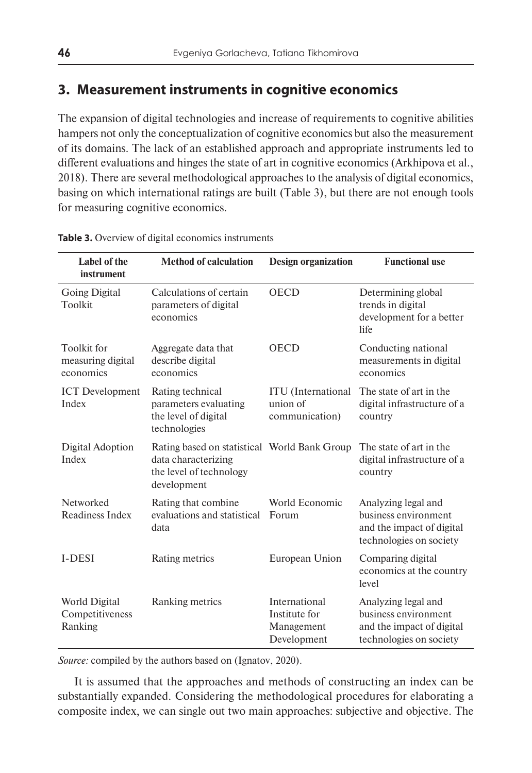# **3. Measurement instruments in cognitive economics**

The expansion of digital technologies and increase of requirements to cognitive abilities hampers not only the conceptualization of cognitive economics but also the measurement of its domains. The lack of an established approach and appropriate instruments led to different evaluations and hinges the state of art in cognitive economics (Arkhipova et al., 2018). There are several methodological approaches to the analysis of digital economics, basing on which international ratings are built (Table 3), but there are not enough tools for measuring cognitive economics.

| Label of the<br>instrument                           | <b>Method of calculation</b>                                                                                  | <b>Design organization</b>                                  | <b>Functional use</b>                                                                               |
|------------------------------------------------------|---------------------------------------------------------------------------------------------------------------|-------------------------------------------------------------|-----------------------------------------------------------------------------------------------------|
| <b>Going Digital</b><br>Toolkit                      | Calculations of certain<br>parameters of digital<br>economics                                                 | <b>OECD</b>                                                 | Determining global<br>trends in digital<br>development for a better<br>life                         |
| <b>Toolkit</b> for<br>measuring digital<br>economics | Aggregate data that<br>describe digital<br>economics                                                          | <b>OECD</b>                                                 | Conducting national<br>measurements in digital<br>economics                                         |
| <b>ICT</b> Development<br>Index                      | Rating technical<br>parameters evaluating<br>the level of digital<br>technologies                             | <b>ITU</b> (International<br>union of<br>communication)     | The state of art in the<br>digital infrastructure of a<br>country                                   |
| Digital Adoption<br>Index                            | Rating based on statistical World Bank Group<br>data characterizing<br>the level of technology<br>development |                                                             | The state of art in the<br>digital infrastructure of a<br>country                                   |
| Networked<br>Readiness Index                         | Rating that combine.<br>evaluations and statistical<br>data                                                   | World Economic<br>Forum                                     | Analyzing legal and<br>business environment<br>and the impact of digital<br>technologies on society |
| <b>I-DESI</b>                                        | Rating metrics                                                                                                | European Union                                              | Comparing digital<br>economics at the country<br>level                                              |
| World Digital<br>Competitiveness<br>Ranking          | Ranking metrics                                                                                               | International<br>Institute for<br>Management<br>Development | Analyzing legal and<br>business environment<br>and the impact of digital<br>technologies on society |

**Table 3.** Overview of digital economics instruments

*Source:* compiled by the authors based on (Ignatov, 2020).

It is assumed that the approaches and methods of constructing an index can be substantially expanded. Considering the methodological procedures for elaborating a composite index, we can single out two main approaches: subjective and objective. The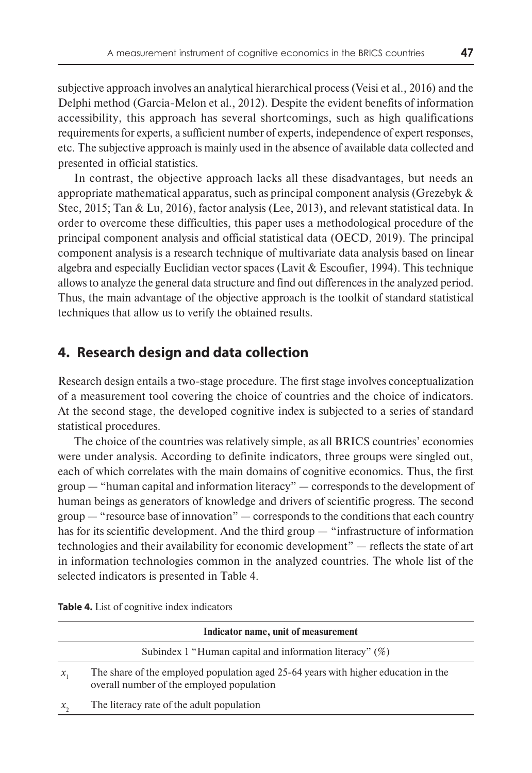subjective approach involves an analytical hierarchical process (Veisi et al., 2016) and the Delphi method (Garcia-Melon et al., 2012). Despite the evident benefits of information accessibility, this approach has several shortcomings, such as high qualifications requirements for experts, a sufficient number of experts, independence of expert responses, etc. The subjective approach is mainly used in the absence of available data collected and presented in official statistics.

In contrast, the objective approach lacks all these disadvantages, but needs an appropriate mathematical apparatus, such as principal component analysis (Grezebyk & Stec, 2015; Tan & Lu, 2016), factor analysis (Lee, 2013), and relevant statistical data. In order to overcome these difficulties, this paper uses a methodological procedure of the principal component analysis and official statistical data (OECD, 2019). The principal component analysis is a research technique of multivariate data analysis based on linear algebra and especially Euclidian vector spaces (Lavit & Escoufier, 1994). This technique allows to analyze the general data structure and find out differences in the analyzed period. Thus, the main advantage of the objective approach is the toolkit of standard statistical techniques that allow us to verify the obtained results.

# **4. Research design and data collection**

Research design entails a two-stage procedure. The first stage involves conceptualization of a measurement tool covering the choice of countries and the choice of indicators. At the second stage, the developed cognitive index is subjected to a series of standard statistical procedures.

The choice of the countries was relatively simple, as all BRICS countries' economies were under analysis. According to definite indicators, three groups were singled out, each of which correlates with the main domains of cognitive economics. Thus, the first group — "human capital and information literacy" — corresponds to the development of human beings as generators of knowledge and drivers of scientific progress. The second group — "resource base of innovation" — corresponds to the conditions that each country has for its scientific development. And the third group — "infrastructure of information technologies and their availability for economic development" — reflects the state of art in information technologies common in the analyzed countries. The whole list of the selected indicators is presented in Table 4.

|                | Indicator name, unit of measurement                                                                                             |
|----------------|---------------------------------------------------------------------------------------------------------------------------------|
|                | Subindex 1 "Human capital and information literacy" $(\%)$                                                                      |
| $\mathcal{X},$ | The share of the employed population aged 25-64 years with higher education in the<br>overall number of the employed population |
| $\chi$         | The literacy rate of the adult population                                                                                       |
|                |                                                                                                                                 |

**Table 4.** List of cognitive index indicators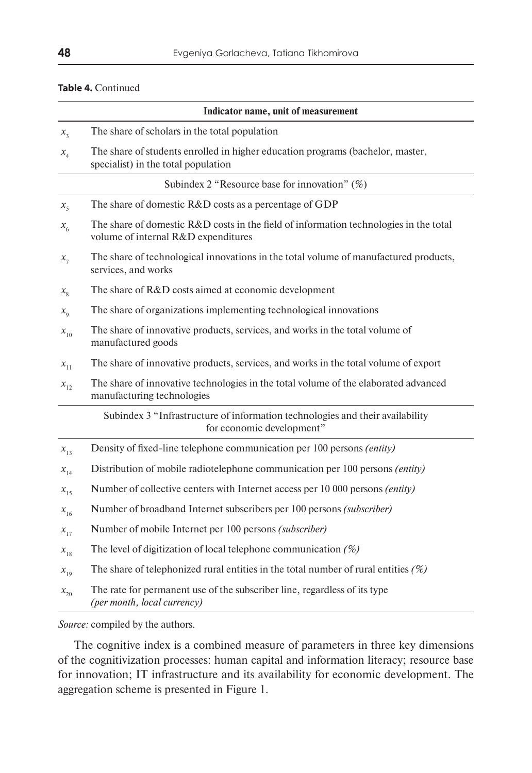#### **Table 4.** Continued

|                 | Indicator name, unit of measurement                                                                                          |
|-----------------|------------------------------------------------------------------------------------------------------------------------------|
| $x_{3}$         | The share of scholars in the total population                                                                                |
| $x_{4}$         | The share of students enrolled in higher education programs (bachelor, master,<br>specialist) in the total population        |
|                 | Subindex 2 "Resource base for innovation" $(\%)$                                                                             |
| $x_{\varsigma}$ | The share of domestic R&D costs as a percentage of GDP                                                                       |
| $x_{6}$         | The share of domestic R&D costs in the field of information technologies in the total<br>volume of internal R&D expenditures |
| $x_{7}$         | The share of technological innovations in the total volume of manufactured products,<br>services, and works                  |
| $x_{\rm g}$     | The share of R&D costs aimed at economic development                                                                         |
| $x_{\rm o}$     | The share of organizations implementing technological innovations                                                            |
| $x_{10}$        | The share of innovative products, services, and works in the total volume of<br>manufactured goods                           |
| $x_{11}$        | The share of innovative products, services, and works in the total volume of export                                          |
| $x_{12}$        | The share of innovative technologies in the total volume of the elaborated advanced<br>manufacturing technologies            |
|                 | Subindex 3 "Infrastructure of information technologies and their availability<br>for economic development"                   |
| $x_{13}$        | Density of fixed-line telephone communication per 100 persons (entity)                                                       |
| $x_{14}$        | Distribution of mobile radiotelephone communication per 100 persons (entity)                                                 |
| $x_{15}$        | Number of collective centers with Internet access per 10 000 persons <i>(entity)</i>                                         |
| $x_{16}$        | Number of broadband Internet subscribers per 100 persons (subscriber)                                                        |
| $x_{17}$        | Number of mobile Internet per 100 persons (subscriber)                                                                       |
| $x_{18}$        | The level of digitization of local telephone communication $(\%)$                                                            |
| $x_{19}$        | The share of telephonized rural entities in the total number of rural entities $(\%)$                                        |
| $x_{20}$        | The rate for permanent use of the subscriber line, regardless of its type<br>(per month, local currency)                     |

*Source:* compiled by the authors.

The cognitive index is a combined measure of parameters in three key dimensions of the cognitivization processes: human capital and information literacy; resource base for innovation; IT infrastructure and its availability for economic development. The aggregation scheme is presented in Figure 1.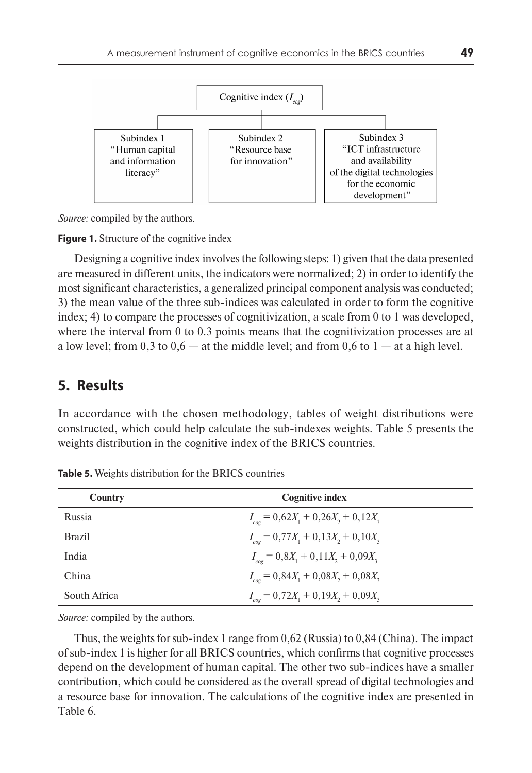

*Source:* compiled by the authors.

**Figure 1.** Structure of the cognitive index

Designing a cognitive index involves the following steps: 1) given that the data presented are measured in different units, the indicators were normalized; 2) in order to identify the most significant characteristics, a generalized principal component analysis was conducted; 3) the mean value of the three sub-indices was calculated in order to form the cognitive index; 4) to compare the processes of cognitivization, a scale from 0 to 1 was developed, where the interval from 0 to 0.3 points means that the cognitivization processes are at a low level; from 0,3 to  $0.6 -$  at the middle level; and from 0,6 to  $1 -$  at a high level.

#### **5. Results**

In accordance with the chosen methodology, tables of weight distributions were constructed, which could help calculate the sub-indexes weights. Table 5 presents the weights distribution in the cognitive index of the BRICS countries.

| Country       | <b>Cognitive index</b>                         |
|---------------|------------------------------------------------|
| Russia        | $I_{\text{coe}} = 0.62X_1 + 0.26X_2 + 0.12X_3$ |
| <b>Brazil</b> | $I_{\text{coe}} = 0.77X_1 + 0.13X_2 + 0.10X_3$ |
| India         | $I_{\text{coe}} = 0.8X_1 + 0.11X_2 + 0.09X_3$  |
| China         | $I_{\text{cor}} = 0.84X_1 + 0.08X_2 + 0.08X_3$ |
| South Africa  | $I_{cog} = 0,72X_1 + 0,19X_2 + 0,09X_3$        |

**Table 5.** Weights distribution for the BRICS countries

*Source:* compiled by the authors.

Thus, the weights for sub-index 1 range from 0,62 (Russia) to 0,84 (China). The impact of sub-index 1 is higher for all BRICS countries, which confirms that cognitive processes depend on the development of human capital. The other two sub-indices have a smaller contribution, which could be considered as the overall spread of digital technologies and a resource base for innovation. The calculations of the cognitive index are presented in Table 6.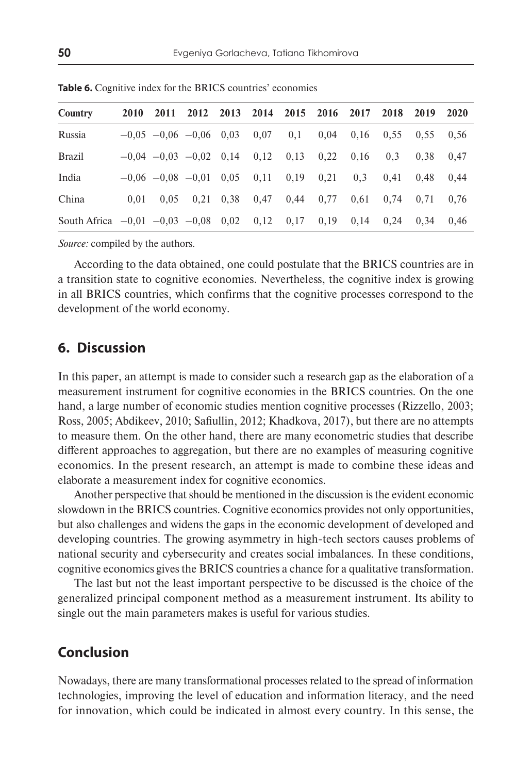| Country                                        |      |      | 2010 2011 2012 2013 2014 2015 2016 2017 2018 2019 2020                         |      |      |      |      |      |      |      |
|------------------------------------------------|------|------|--------------------------------------------------------------------------------|------|------|------|------|------|------|------|
| Russia                                         |      |      | $-0.05$ $-0.06$ $-0.06$ $0.03$ $0.07$ $0.1$ $0.04$ $0.16$ $0.55$ $0.55$ $0.56$ |      |      |      |      |      |      |      |
| <b>Brazil</b>                                  |      |      | $-0.04$ $-0.03$ $-0.02$ 0.14 0.12 0.13 0.22                                    |      |      |      | 0.16 | 0.3  | 0.38 | 0.47 |
| India                                          |      |      | $-0.06$ $-0.08$ $-0.01$ 0.05 0.11 0.19                                         |      |      | 0,21 | 0.3  | 0.41 | 0.48 | 0.44 |
| China                                          | 0.01 | 0.05 | $0,21$ 0.38                                                                    | 0,47 | 0,44 | 0.77 | 0.61 | 0.74 | 0.71 | 0.76 |
| South Africa $-0.01$ $-0.03$ $-0.08$ 0.02 0.12 |      |      |                                                                                |      | 0,17 | 0,19 | 0.14 | 0.24 | 0.34 | 0.46 |

**Table 6.** Cognitive index for the BRICS countries' economies

*Source:* compiled by the authors.

According to the data obtained, one could postulate that the BRICS countries are in a transition state to cognitive economies. Nevertheless, the cognitive index is growing in all BRICS countries, which confirms that the cognitive processes correspond to the development of the world economy.

### **6. Discussion**

In this paper, an attempt is made to consider such a research gap as the elaboration of a measurement instrument for cognitive economies in the BRICS countries. On the one hand, a large number of economic studies mention cognitive processes (Rizzello, 2003; Ross, 2005; Abdikeev, 2010; Safiullin, 2012; Khadkova, 2017), but there are no attempts to measure them. On the other hand, there are many econometric studies that describe different approaches to aggregation, but there are no examples of measuring cognitive economics. In the present research, an attempt is made to combine these ideas and elaborate a measurement index for cognitive economics.

Another perspective that should be mentioned in the discussion is the evident economic slowdown in the BRICS countries. Cognitive economics provides not only opportunities, but also challenges and widens the gaps in the economic development of developed and developing countries. The growing asymmetry in high-tech sectors causes problems of national security and cybersecurity and creates social imbalances. In these conditions, cognitive economics gives the BRICS countries a chance for a qualitative transformation.

The last but not the least important perspective to be discussed is the choice of the generalized principal component method as a measurement instrument. Its ability to single out the main parameters makes is useful for various studies.

# **Conclusion**

Nowadays, there are many transformational processes related to the spread of information technologies, improving the level of education and information literacy, and the need for innovation, which could be indicated in almost every country. In this sense, the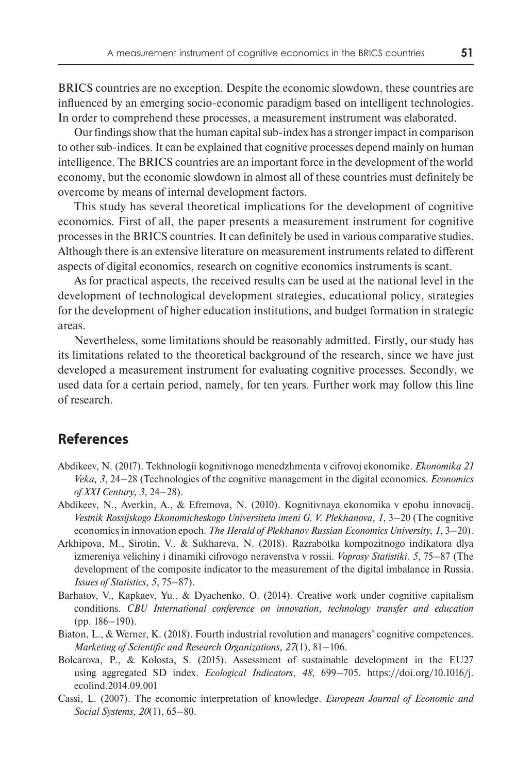BRICS countries are no exception. Despite the economic slowdown, these countries are influenced by an emerging socio-economic paradigm based on intelligent technologies. In order to comprehend these processes, a measurement instrument was elaborated.

Our findings show that the human capital sub-index has a stronger impact in comparison to other sub-indices. It can be explained that cognitive processes depend mainly on human intelligence. The BRICS countries are an important force in the development of the world economy, but the economic slowdown in almost all of these countries must definitely be overcome by means of internal development factors.

This study has several theoretical implications for the development of cognitive economics. First of all, the paper presents a measurement instrument for cognitive processes in the BRICS countries. It can definitely be used in various comparative studies. Although there is an extensive literature on measurement instruments related to different aspects of digital economics, research on cognitive economics instruments is scant.

As for practical aspects, the received results can be used at the national level in the development of technological development strategies, educational policy, strategies for the development of higher education institutions, and budget formation in strategic areas.

Nevertheless, some limitations should be reasonably admitted. Firstly, our study has its limitations related to the theoretical background of the research, since we have just developed a measurement instrument for evaluating cognitive processes. Secondly, we used data for a certain period, namely, for ten years. Further work may follow this line of research.

# **References**

- Abdikeev, N. (2017). Tekhnologii kognitivnogo menedzhmenta v cifrovoj ekonomike. *Ekonomika 21 Veka, 3*, 24–28 (Technologies of the cognitive management in the digital economics. *Economics of XXI Century, 3*, 24–28).
- Abdikeev, N., Averkin, A., & Efremova, N. (2010). Kognitivnaya ekonomika v epohu innovacij. *Vestnik Rossijskogo Ekonomicheskogo Universiteta imeni G. V. Plekhanova, 1*, 3–20 (The cognitive economics in innovation epoch. *The Herald of Plekhanov Russian Economics University, 1*, 3–20).
- Arkhipova, M., Sirotin, V., & Sukhareva, N. (2018). Razrabotka kompozitnogo indikatora dlya izmereniya velichiny i dinamiki cifrovogo neravenstva v rossii. *Voprosy Statistiki. 5*, 75–87 (The development of the composite indicator to the measurement of the digital imbalance in Russia. *Issues of Statistics, 5*, 75–87).
- Barhatov, V., Kapkaev, Yu., & Dyachenko, O. (2014). Creative work under cognitive capitalism conditions. *CBU International conference on innovation, technology transfer and education* (pp. 186–190).
- Biaton, L., & Werner, K. (2018). Fourth industrial revolution and managers' cognitive competences. *Marketing of Scientific and Research Organizations, 27*(1), 81–106.
- Bolcarova, P., & Kolosta, S. (2015). Assessment of sustainable development in the EU27 using aggregated SD index. *Ecological Indicators*, *48*, 699–705. https://doi.org/10.1016/j. ecolind.2014.09.001
- Cassi, L. (2007). The economic interpretation of knowledge. *European Journal of Economic and Social Systems, 20*(1), 65–80.